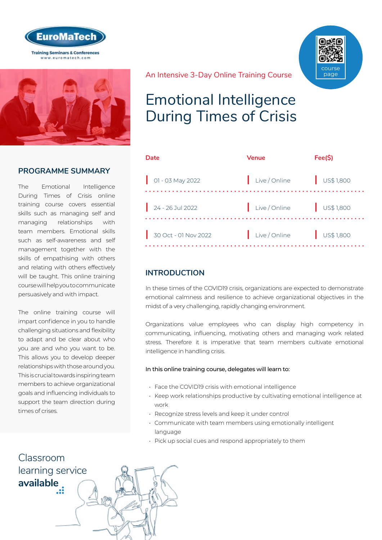



### **PROGRAMME SUMMARY**

The Emotional Intelligence During Times of Crisis online training course covers essential skills such as managing self and managing relationships with team members. Emotional skills such as self-awareness and self management together with the skills of empathising with others and relating with others effectively will be taught. This online training course will help you to communicate persuasively and with impact.

The online training course will impart confidence in you to handle challenging situations and flexibility to adapt and be clear about who you are and who you want to be. This allows you to develop deeper relationships with those around you. This is crucial towards inspiring team members to achieve organizational goals and influencing individuals to support the team direction during times of crises.

course page

#### An Intensive 3-Day Online Training Course

## Emotional Intelligence During Times of Crisis

| Date                        | <b>Venue</b>  | Fee(S)               |
|-----------------------------|---------------|----------------------|
| $\bigcirc$ 01 - 03 May 2022 | Live / Online | $\bigcup$ US\$ 1,800 |
| $24 - 26$ Jul 2022          | Live / Online | $\bigcup$ US\$ 1,800 |
| 30 Oct - 01 Nov 2022        | Live / Online | $\bigcup$ US\$ 1,800 |

## **INTRODUCTION**

In these times of the COVID19 crisis, organizations are expected to demonstrate emotional calmness and resilience to achieve organizational objectives in the midst of a very challenging, rapidly changing environment.

Organizations value employees who can display high competency in communicating, influencing, motivating others and managing work related stress. Therefore it is imperative that team members cultivate emotional intelligence in handling crisis.

#### In this online training course, delegates will learn to:

- Face the COVID19 crisis with emotional intelligence
- Keep work relationships productive by cultivating emotional intelligence at work
- Recognize stress levels and keep it under control
- Communicate with team members using emotionally intelligent language
- Pick up social cues and respond appropriately to them

## Classroom [learning service](http://www.euromatech.com/search-courses)  **available**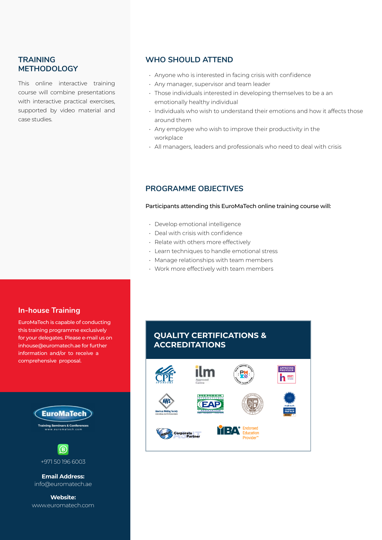### **TRAINING METHODOLOGY**

This online interactive training course will combine presentations with interactive practical exercises, supported by video material and case studies.

### **WHO SHOULD ATTEND**

- Anyone who is interested in facing crisis with confidence
- Any manager, supervisor and team leader
- Those individuals interested in developing themselves to be a an emotionally healthy individual
- Individuals who wish to understand their emotions and how it affects those around them
- Any employee who wish to improve their productivity in the workplace
- All managers, leaders and professionals who need to deal with crisis

#### **PROGRAMME OBJECTIVES**

Participants attending this EuroMaTech online training course will:

- Develop emotional intelligence
- Deal with crisis with confidence
- Relate with others more effectively
- Learn techniques to handle emotional stress
- Manage relationships with team members
- Work more effectively with team members

#### **In-house Training**

EuroMaTech is capable of conducting this training programme exclusively for your delegates. Please e-mail us on inhouse@euromatech.ae for further information and/or to receive a comprehensive proposal.



**Website:** www.euromatech.com

## **QUALITY CERTIFICATIONS & ACCREDITATIONS**

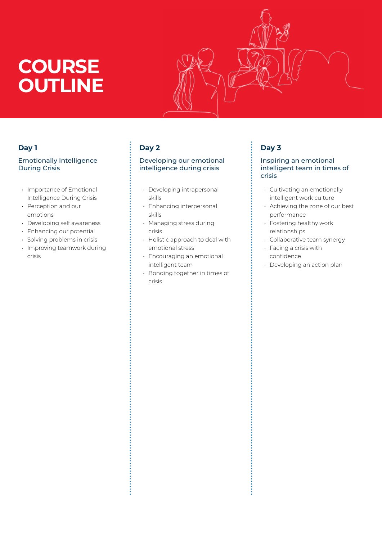# **COURSE OUTLINE**

## **Day 1**

#### Emotionally Intelligence During Crisis

- Importance of Emotional Intelligence During Crisis
- Perception and our emotions
- Developing self awareness
- Enhancing our potential
- Solving problems in crisis
- Improving teamwork during crisis

## **Day 2**

 $\ddot{\cdot}$ 

#### Developing our emotional intelligence during crisis

- Developing intrapersonal skills
- Enhancing interpersonal skills
- Managing stress during crisis
- Holistic approach to deal with emotional stress
- Encouraging an emotional intelligent team
- Bonding together in times of crisis

## **Day 3**

š

#### Inspiring an emotional intelligent team in times of crisis

- Cultivating an emotionally intelligent work culture
- Achieving the zone of our best performance
- Fostering healthy work relationships
- Collaborative team synergy
- Facing a crisis with confidence
- Developing an action plan